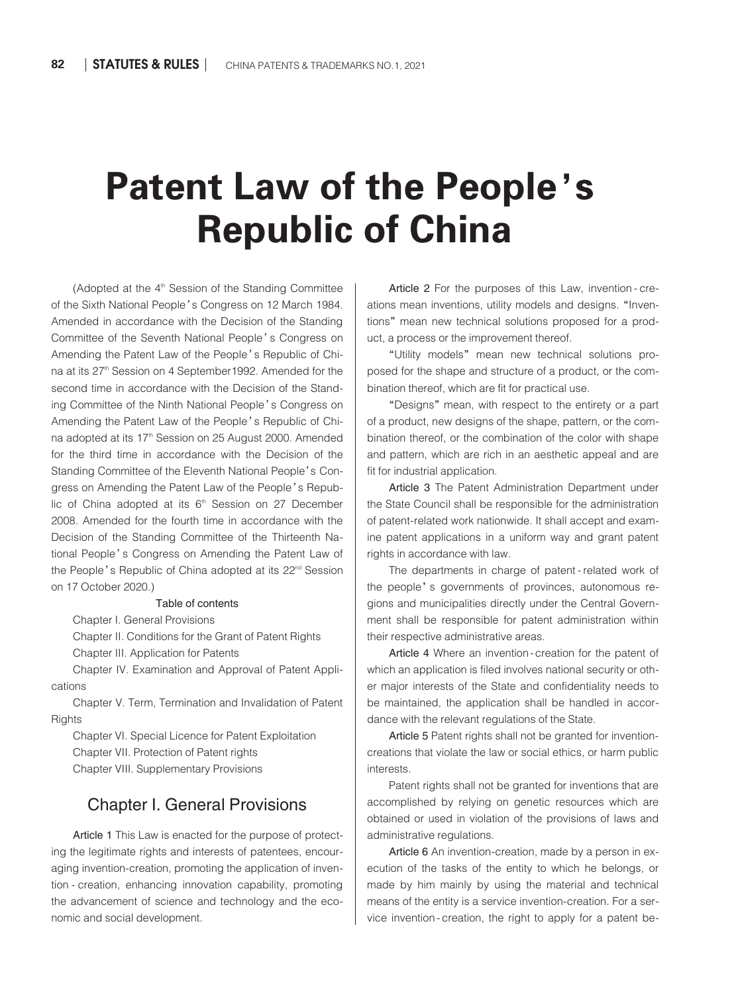# Patent Law of the People's Republic of China

(Adopted at the  $4<sup>th</sup>$  Session of the Standing Committee of the Sixth National People's Congress on 12 March 1984. Amended in accordance with the Decision of the Standing Committee of the Seventh National People's Congress on Amending the Patent Law of the People's Republic of China at its 27<sup>th</sup> Session on 4 September 1992. Amended for the second time in accordance with the Decision of the Standing Committee of the Ninth National People's Congress on Amending the Patent Law of the People's Republic of China adopted at its 17<sup>th</sup> Session on 25 August 2000. Amended for the third time in accordance with the Decision of the Standing Committee of the Eleventh National People's Congress on Amending the Patent Law of the People's Republic of China adopted at its 6<sup>th</sup> Session on 27 December 2008. Amended for the fourth time in accordance with the Decision of the Standing Committee of the Thirteenth National People's Congress on Amending the Patent Law of the People's Republic of China adopted at its 22<sup>nd</sup> Session on 17 October 2020.)

#### Table of contents

Chapter I. General Provisions

Chapter II. Conditions for the Grant of Patent Rights Chapter III. Application for Patents

Chapter IV. Examination and Approval of Patent Applications

Chapter V. Term, Termination and Invalidation of Patent **Rights** 

Chapter VI. Special Licence for Patent Exploitation Chapter VII. Protection of Patent rights

Chapter VIII. Supplementary Provisions

#### Chapter I. General Provisions

Article 1 This Law is enacted for the purpose of protecting the legitimate rights and interests of patentees, encouraging invention-creation, promoting the application of invention - creation, enhancing innovation capability, promoting the advancement of science and technology and the economic and social development.

Article 2 For the purposes of this Law, invention - creations mean inventions, utility models and designs. "Inventions" mean new technical solutions proposed for a product, a process or the improvement thereof.

"Utility models" mean new technical solutions pro⁃ posed for the shape and structure of a product, or the combination thereof, which are fit for practical use.

"Designs" mean, with respect to the entirety or a part of a product, new designs of the shape, pattern, or the combination thereof, or the combination of the color with shape and pattern, which are rich in an aesthetic appeal and are fit for industrial application.

Article 3 The Patent Administration Department under the State Council shall be responsible for the administration of patent-related work nationwide. It shall accept and examine patent applications in a uniform way and grant patent rights in accordance with law.

The departments in charge of patent-related work of the people's governments of provinces, autonomous regions and municipalities directly under the Central Government shall be responsible for patent administration within their respective administrative areas.

Article 4 Where an invention-creation for the patent of which an application is filed involves national security or other major interests of the State and confidentiality needs to be maintained, the application shall be handled in accordance with the relevant regulations of the State.

Article 5 Patent rights shall not be granted for inventioncreations that violate the law or social ethics, or harm public interests.

Patent rights shall not be granted for inventions that are accomplished by relying on genetic resources which are obtained or used in violation of the provisions of laws and administrative regulations.

Article 6 An invention-creation, made by a person in execution of the tasks of the entity to which he belongs, or made by him mainly by using the material and technical means of the entity is a service invention-creation. For a service invention-creation, the right to apply for a patent be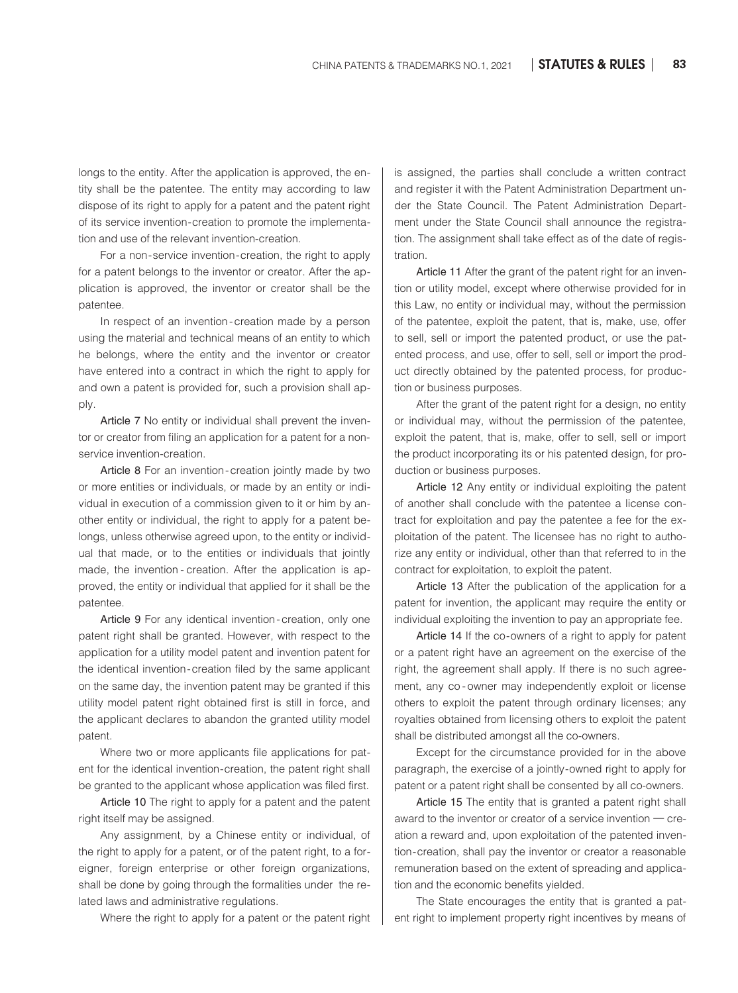longs to the entity. After the application is approved, the entity shall be the patentee. The entity may according to law dispose of its right to apply for a patent and the patent right of its service invention-creation to promote the implementation and use of the relevant invention-creation.

For a non-service invention-creation, the right to apply for a patent belongs to the inventor or creator. After the application is approved, the inventor or creator shall be the patentee.

In respect of an invention-creation made by a person using the material and technical means of an entity to which he belongs, where the entity and the inventor or creator have entered into a contract in which the right to apply for and own a patent is provided for, such a provision shall apply.

Article 7 No entity or individual shall prevent the inventor or creator from filing an application for a patent for a nonservice invention-creation.

Article 8 For an invention-creation jointly made by two or more entities or individuals, or made by an entity or individual in execution of a commission given to it or him by another entity or individual, the right to apply for a patent belongs, unless otherwise agreed upon, to the entity or individual that made, or to the entities or individuals that jointly made, the invention - creation. After the application is approved, the entity or individual that applied for it shall be the patentee.

Article 9 For any identical invention-creation, only one patent right shall be granted. However, with respect to the application for a utility model patent and invention patent for the identical invention-creation filed by the same applicant on the same day, the invention patent may be granted if this utility model patent right obtained first is still in force, and the applicant declares to abandon the granted utility model patent.

Where two or more applicants file applications for patent for the identical invention-creation, the patent right shall be granted to the applicant whose application was filed first.

Article 10 The right to apply for a patent and the patent right itself may be assigned.

Any assignment, by a Chinese entity or individual, of the right to apply for a patent, or of the patent right, to a foreigner, foreign enterprise or other foreign organizations, shall be done by going through the formalities under the related laws and administrative regulations.

Where the right to apply for a patent or the patent right

is assigned, the parties shall conclude a written contract and register it with the Patent Administration Department under the State Council. The Patent Administration Department under the State Council shall announce the registration. The assignment shall take effect as of the date of registration.

Article 11 After the grant of the patent right for an invention or utility model, except where otherwise provided for in this Law, no entity or individual may, without the permission of the patentee, exploit the patent, that is, make, use, offer to sell, sell or import the patented product, or use the patented process, and use, offer to sell, sell or import the product directly obtained by the patented process, for production or business purposes.

After the grant of the patent right for a design, no entity or individual may, without the permission of the patentee, exploit the patent, that is, make, offer to sell, sell or import the product incorporating its or his patented design, for production or business purposes.

Article 12 Any entity or individual exploiting the patent of another shall conclude with the patentee a license contract for exploitation and pay the patentee a fee for the exploitation of the patent. The licensee has no right to authorize any entity or individual, other than that referred to in the contract for exploitation, to exploit the patent.

Article 13 After the publication of the application for a patent for invention, the applicant may require the entity or individual exploiting the invention to pay an appropriate fee.

Article 14 If the co-owners of a right to apply for patent or a patent right have an agreement on the exercise of the right, the agreement shall apply. If there is no such agreement, any co-owner may independently exploit or license others to exploit the patent through ordinary licenses; any royalties obtained from licensing others to exploit the patent shall be distributed amongst all the co-owners.

Except for the circumstance provided for in the above paragraph, the exercise of a jointly-owned right to apply for patent or a patent right shall be consented by all co-owners.

Article 15 The entity that is granted a patent right shall award to the inventor or creator of a service invention — creation a reward and, upon exploitation of the patented invention-creation, shall pay the inventor or creator a reasonable remuneration based on the extent of spreading and application and the economic benefits yielded.

The State encourages the entity that is granted a patent right to implement property right incentives by means of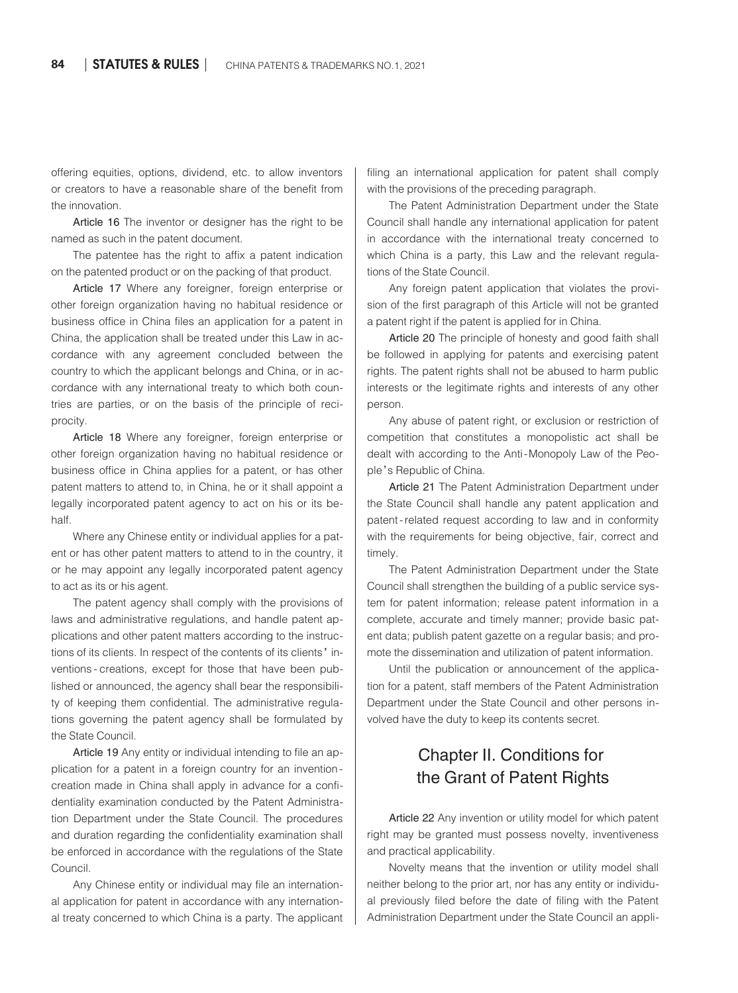offering equities, options, dividend, etc. to allow inventors or creators to have a reasonable share of the benefit from the innovation.

Article 16 The inventor or designer has the right to be named as such in the patent document.

The patentee has the right to affix a patent indication on the patented product or on the packing of that product.

Article 17 Where any foreigner, foreign enterprise or other foreign organization having no habitual residence or business office in China files an application for a patent in China, the application shall be treated under this Law in accordance with any agreement concluded between the country to which the applicant belongs and China, or in accordance with any international treaty to which both countries are parties, or on the basis of the principle of reciprocity.

Article 18 Where any foreigner, foreign enterprise or other foreign organization having no habitual residence or business office in China applies for a patent, or has other patent matters to attend to, in China, he or it shall appoint a legally incorporated patent agency to act on his or its behalf.

Where any Chinese entity or individual applies for a patent or has other patent matters to attend to in the country, it or he may appoint any legally incorporated patent agency to act as its or his agent.

The patent agency shall comply with the provisions of laws and administrative regulations, and handle patent applications and other patent matters according to the instructions of its clients. In respect of the contents of its clients' inventions - creations, except for those that have been published or announced, the agency shall bear the responsibility of keeping them confidential. The administrative regulations governing the patent agency shall be formulated by the State Council.

Article 19 Any entity or individual intending to file an application for a patent in a foreign country for an inventioncreation made in China shall apply in advance for a confidentiality examination conducted by the Patent Administration Department under the State Council. The procedures and duration regarding the confidentiality examination shall be enforced in accordance with the regulations of the State Council.

Any Chinese entity or individual may file an international application for patent in accordance with any international treaty concerned to which China is a party. The applicant filing an international application for patent shall comply with the provisions of the preceding paragraph.

The Patent Administration Department under the State Council shall handle any international application for patent in accordance with the international treaty concerned to which China is a party, this Law and the relevant regulations of the State Council.

Any foreign patent application that violates the provision of the first paragraph of this Article will not be granted a patent right if the patent is applied for in China.

Article 20 The principle of honesty and good faith shall be followed in applying for patents and exercising patent rights. The patent rights shall not be abused to harm public interests or the legitimate rights and interests of any other person.

Any abuse of patent right, or exclusion or restriction of competition that constitutes a monopolistic act shall be dealt with according to the Anti-Monopoly Law of the People's Republic of China.

Article 21 The Patent Administration Department under the State Council shall handle any patent application and patent-related request according to law and in conformity with the requirements for being objective, fair, correct and timely.

The Patent Administration Department under the State Council shall strengthen the building of a public service system for patent information; release patent information in a complete, accurate and timely manner; provide basic patent data; publish patent gazette on a regular basis; and promote the dissemination and utilization of patent information.

Until the publication or announcement of the application for a patent, staff members of the Patent Administration Department under the State Council and other persons involved have the duty to keep its contents secret.

# Chapter II. Conditions for the Grant of Patent Rights

Article 22 Any invention or utility model for which patent right may be granted must possess novelty, inventiveness and practical applicability.

Novelty means that the invention or utility model shall neither belong to the prior art, nor has any entity or individual previously filed before the date of filing with the Patent Administration Department under the State Council an appli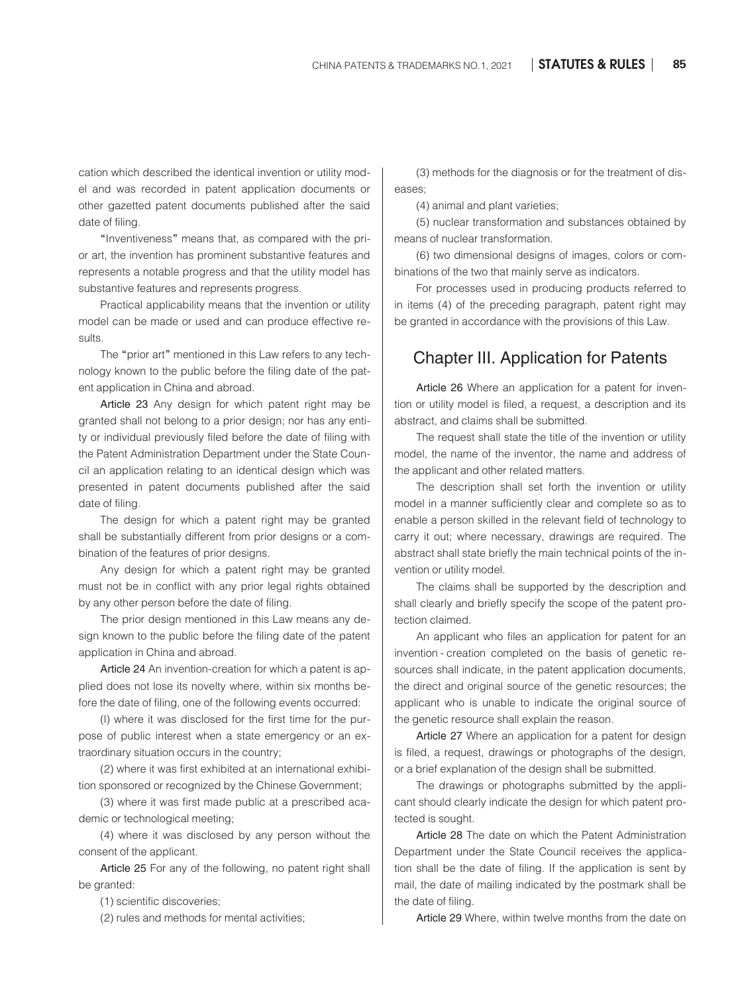cation which described the identical invention or utility model and was recorded in patent application documents or other gazetted patent documents published after the said date of filing.

"Inventiveness" means that, as compared with the prior art, the invention has prominent substantive features and represents a notable progress and that the utility model has substantive features and represents progress.

Practical applicability means that the invention or utility model can be made or used and can produce effective results.

The "prior art" mentioned in this Law refers to any technology known to the public before the filing date of the patent application in China and abroad.

Article 23 Any design for which patent right may be granted shall not belong to a prior design; nor has any entity or individual previously filed before the date of filing with the Patent Administration Department under the State Council an application relating to an identical design which was presented in patent documents published after the said date of filing.

The design for which a patent right may be granted shall be substantially different from prior designs or a combination of the features of prior designs.

Any design for which a patent right may be granted must not be in conflict with any prior legal rights obtained by any other person before the date of filing.

The prior design mentioned in this Law means any design known to the public before the filing date of the patent application in China and abroad.

Article 24 An invention-creation for which a patent is applied does not lose its novelty where, within six months before the date of filing, one of the following events occurred:

(I) where it was disclosed for the first time for the purpose of public interest when a state emergency or an extraordinary situation occurs in the country;

(2) where it was first exhibited at an international exhibition sponsored or recognized by the Chinese Government;

(3) where it was first made public at a prescribed academic or technological meeting;

(4) where it was disclosed by any person without the consent of the applicant.

Article 25 For any of the following, no patent right shall be granted:

(1) scientific discoveries;

(2) rules and methods for mental activities;

(3) methods for the diagnosis or for the treatment of diseases;

(4) animal and plant varieties;

(5) nuclear transformation and substances obtained by means of nuclear transformation.

(6) two dimensional designs of images, colors or com⁃ binations of the two that mainly serve as indicators.

For processes used in producing products referred to in items (4) of the preceding paragraph, patent right may be granted in accordance with the provisions of this Law.

### Chapter III. Application for Patents

Article 26 Where an application for a patent for invention or utility model is filed, a request, a description and its abstract, and claims shall be submitted.

The request shall state the title of the invention or utility model, the name of the inventor, the name and address of the applicant and other related matters.

The description shall set forth the invention or utility model in a manner sufficiently clear and complete so as to enable a person skilled in the relevant field of technology to carry it out; where necessary, drawings are required. The abstract shall state briefly the main technical points of the invention or utility model.

The claims shall be supported by the description and shall clearly and briefly specify the scope of the patent protection claimed.

An applicant who files an application for patent for an invention - creation completed on the basis of genetic resources shall indicate, in the patent application documents, the direct and original source of the genetic resources; the applicant who is unable to indicate the original source of the genetic resource shall explain the reason.

Article 27 Where an application for a patent for design is filed, a request, drawings or photographs of the design, or a brief explanation of the design shall be submitted.

The drawings or photographs submitted by the applicant should clearly indicate the design for which patent protected is sought.

Article 28 The date on which the Patent Administration Department under the State Council receives the application shall be the date of filing. If the application is sent by mail, the date of mailing indicated by the postmark shall be the date of filing.

Article 29 Where, within twelve months from the date on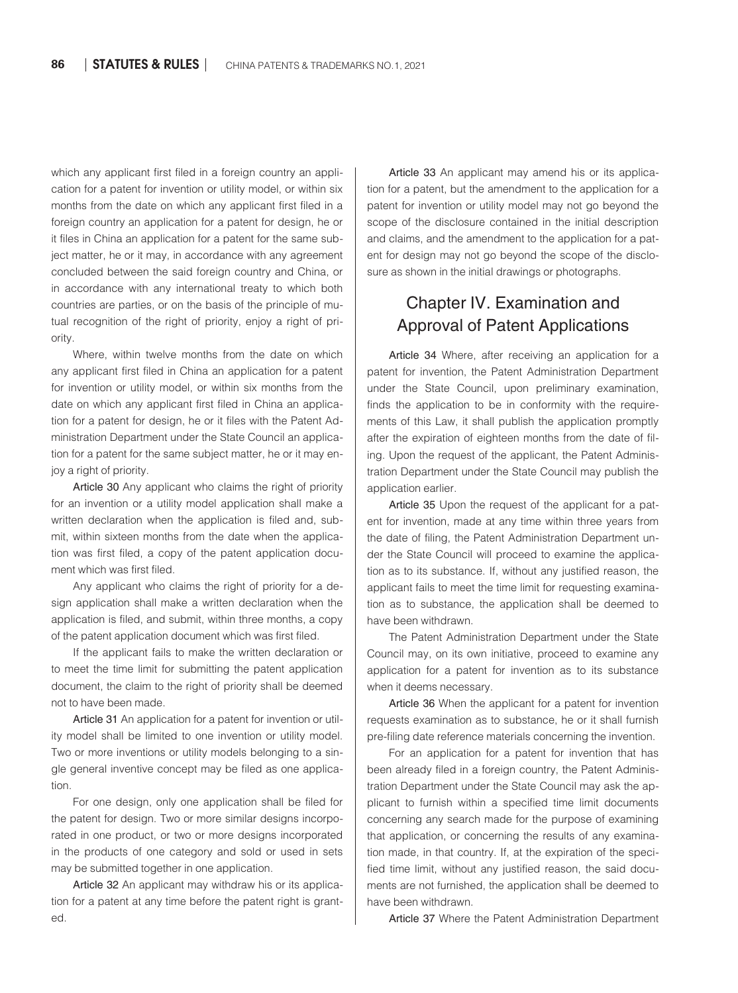which any applicant first filed in a foreign country an application for a patent for invention or utility model, or within six months from the date on which any applicant first filed in a foreign country an application for a patent for design, he or it files in China an application for a patent for the same subject matter, he or it may, in accordance with any agreement concluded between the said foreign country and China, or in accordance with any international treaty to which both countries are parties, or on the basis of the principle of mutual recognition of the right of priority, enjoy a right of priority.

Where, within twelve months from the date on which any applicant first filed in China an application for a patent for invention or utility model, or within six months from the date on which any applicant first filed in China an application for a patent for design, he or it files with the Patent Administration Department under the State Council an application for a patent for the same subject matter, he or it may enjoy a right of priority.

Article 30 Any applicant who claims the right of priority for an invention or a utility model application shall make a written declaration when the application is filed and, submit, within sixteen months from the date when the application was first filed, a copy of the patent application document which was first filed.

Any applicant who claims the right of priority for a design application shall make a written declaration when the application is filed, and submit, within three months, a copy of the patent application document which was first filed.

If the applicant fails to make the written declaration or to meet the time limit for submitting the patent application document, the claim to the right of priority shall be deemed not to have been made.

Article 31 An application for a patent for invention or utility model shall be limited to one invention or utility model. Two or more inventions or utility models belonging to a single general inventive concept may be filed as one application.

For one design, only one application shall be filed for the patent for design. Two or more similar designs incorporated in one product, or two or more designs incorporated in the products of one category and sold or used in sets may be submitted together in one application.

Article 32 An applicant may withdraw his or its application for a patent at any time before the patent right is granted.

Article 33 An applicant may amend his or its application for a patent, but the amendment to the application for a patent for invention or utility model may not go beyond the scope of the disclosure contained in the initial description and claims, and the amendment to the application for a patent for design may not go beyond the scope of the disclosure as shown in the initial drawings or photographs.

### Chapter IV. Examination and Approval of Patent Applications

Article 34 Where, after receiving an application for a patent for invention, the Patent Administration Department under the State Council, upon preliminary examination, finds the application to be in conformity with the requirements of this Law, it shall publish the application promptly after the expiration of eighteen months from the date of filing. Upon the request of the applicant, the Patent Administration Department under the State Council may publish the application earlier.

Article 35 Upon the request of the applicant for a patent for invention, made at any time within three years from the date of filing, the Patent Administration Department under the State Council will proceed to examine the application as to its substance. If, without any justified reason, the applicant fails to meet the time limit for requesting examination as to substance, the application shall be deemed to have been withdrawn.

The Patent Administration Department under the State Council may, on its own initiative, proceed to examine any application for a patent for invention as to its substance when it deems necessary.

Article 36 When the applicant for a patent for invention requests examination as to substance, he or it shall furnish pre-filing date reference materials concerning the invention.

For an application for a patent for invention that has been already filed in a foreign country, the Patent Administration Department under the State Council may ask the applicant to furnish within a specified time limit documents concerning any search made for the purpose of examining that application, or concerning the results of any examination made, in that country. If, at the expiration of the specified time limit, without any justified reason, the said documents are not furnished, the application shall be deemed to have been withdrawn.

Article 37 Where the Patent Administration Department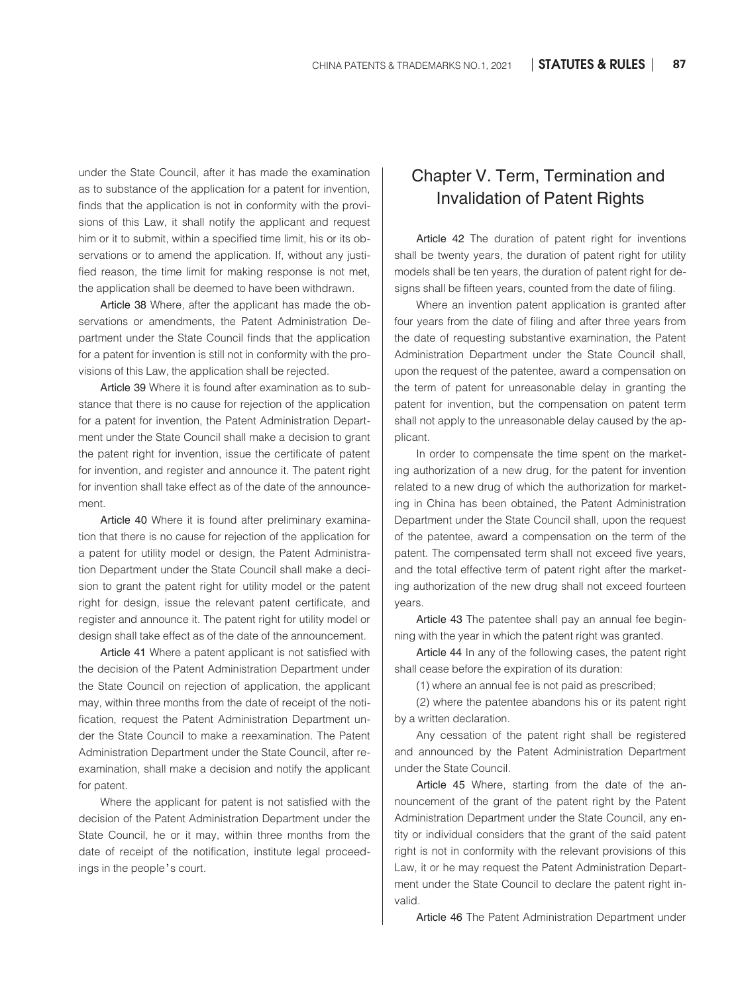under the State Council, after it has made the examination as to substance of the application for a patent for invention, finds that the application is not in conformity with the provisions of this Law, it shall notify the applicant and request him or it to submit, within a specified time limit, his or its observations or to amend the application. If, without any justified reason, the time limit for making response is not met, the application shall be deemed to have been withdrawn.

Article 38 Where, after the applicant has made the observations or amendments, the Patent Administration Department under the State Council finds that the application for a patent for invention is still not in conformity with the provisions of this Law, the application shall be rejected.

Article 39 Where it is found after examination as to substance that there is no cause for rejection of the application for a patent for invention, the Patent Administration Department under the State Council shall make a decision to grant the patent right for invention, issue the certificate of patent for invention, and register and announce it. The patent right for invention shall take effect as of the date of the announcement.

Article 40 Where it is found after preliminary examination that there is no cause for rejection of the application for a patent for utility model or design, the Patent Administration Department under the State Council shall make a decision to grant the patent right for utility model or the patent right for design, issue the relevant patent certificate, and register and announce it. The patent right for utility model or design shall take effect as of the date of the announcement.

Article 41 Where a patent applicant is not satisfied with the decision of the Patent Administration Department under the State Council on rejection of application, the applicant may, within three months from the date of receipt of the notification, request the Patent Administration Department under the State Council to make a reexamination. The Patent Administration Department under the State Council, after reexamination, shall make a decision and notify the applicant for patent.

Where the applicant for patent is not satisfied with the decision of the Patent Administration Department under the State Council, he or it may, within three months from the date of receipt of the notification, institute legal proceedings in the people's court.

# Chapter V. Term, Termination and Invalidation of Patent Rights

Article 42 The duration of patent right for inventions shall be twenty years, the duration of patent right for utility models shall be ten years, the duration of patent right for de⁃ signs shall be fifteen years, counted from the date of filing.

Where an invention patent application is granted after four years from the date of filing and after three years from the date of requesting substantive examination, the Patent Administration Department under the State Council shall, upon the request of the patentee, award a compensation on the term of patent for unreasonable delay in granting the patent for invention, but the compensation on patent term shall not apply to the unreasonable delay caused by the applicant.

In order to compensate the time spent on the marketing authorization of a new drug, for the patent for invention related to a new drug of which the authorization for marketing in China has been obtained, the Patent Administration Department under the State Council shall, upon the request of the patentee, award a compensation on the term of the patent. The compensated term shall not exceed five years, and the total effective term of patent right after the marketing authorization of the new drug shall not exceed fourteen years.

Article 43 The patentee shall pay an annual fee beginning with the year in which the patent right was granted.

Article 44 In any of the following cases, the patent right shall cease before the expiration of its duration:

(1) where an annual fee is not paid as prescribed;

(2) where the patentee abandons his or its patent right by a written declaration.

Any cessation of the patent right shall be registered and announced by the Patent Administration Department under the State Council.

Article 45 Where, starting from the date of the announcement of the grant of the patent right by the Patent Administration Department under the State Council, any entity or individual considers that the grant of the said patent right is not in conformity with the relevant provisions of this Law, it or he may request the Patent Administration Department under the State Council to declare the patent right invalid.

Article 46 The Patent Administration Department under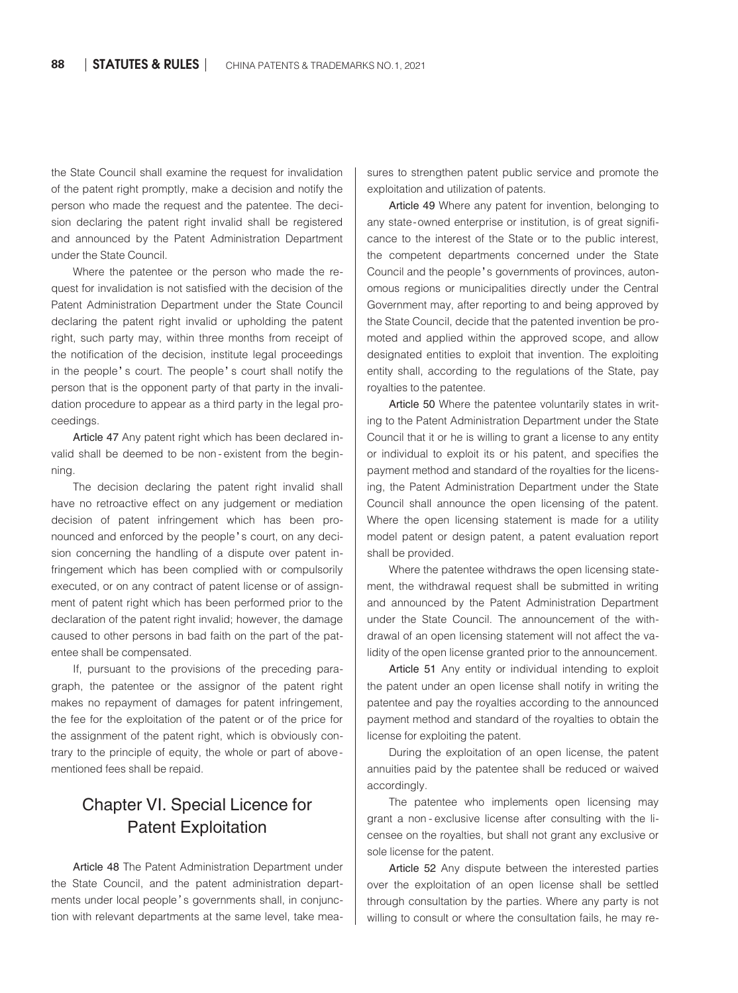the State Council shall examine the request for invalidation of the patent right promptly, make a decision and notify the person who made the request and the patentee. The decision declaring the patent right invalid shall be registered and announced by the Patent Administration Department under the State Council.

Where the patentee or the person who made the request for invalidation is not satisfied with the decision of the Patent Administration Department under the State Council declaring the patent right invalid or upholding the patent right, such party may, within three months from receipt of the notification of the decision, institute legal proceedings in the people' s court. The people' s court shall notify the person that is the opponent party of that party in the invalidation procedure to appear as a third party in the legal proceedings.

Article 47 Any patent right which has been declared invalid shall be deemed to be non-existent from the beginning.

The decision declaring the patent right invalid shall have no retroactive effect on any judgement or mediation decision of patent infringement which has been pronounced and enforced by the people's court, on any decision concerning the handling of a dispute over patent infringement which has been complied with or compulsorily executed, or on any contract of patent license or of assignment of patent right which has been performed prior to the declaration of the patent right invalid; however, the damage caused to other persons in bad faith on the part of the patentee shall be compensated.

If, pursuant to the provisions of the preceding paragraph, the patentee or the assignor of the patent right makes no repayment of damages for patent infringement, the fee for the exploitation of the patent or of the price for the assignment of the patent right, which is obviously contrary to the principle of equity, the whole or part of abovementioned fees shall be repaid.

# Chapter VI. Special Licence for Patent Exploitation

Article 48 The Patent Administration Department under the State Council, and the patent administration departments under local people's governments shall, in conjunction with relevant departments at the same level, take measures to strengthen patent public service and promote the exploitation and utilization of patents.

Article 49 Where any patent for invention, belonging to any state-owned enterprise or institution, is of great significance to the interest of the State or to the public interest, the competent departments concerned under the State Council and the people's governments of provinces, autonomous regions or municipalities directly under the Central Government may, after reporting to and being approved by the State Council, decide that the patented invention be promoted and applied within the approved scope, and allow designated entities to exploit that invention. The exploiting entity shall, according to the regulations of the State, pay royalties to the patentee.

Article 50 Where the patentee voluntarily states in writing to the Patent Administration Department under the State Council that it or he is willing to grant a license to any entity or individual to exploit its or his patent, and specifies the payment method and standard of the royalties for the licensing, the Patent Administration Department under the State Council shall announce the open licensing of the patent. Where the open licensing statement is made for a utility model patent or design patent, a patent evaluation report shall be provided.

Where the patentee withdraws the open licensing statement, the withdrawal request shall be submitted in writing and announced by the Patent Administration Department under the State Council. The announcement of the withdrawal of an open licensing statement will not affect the validity of the open license granted prior to the announcement.

Article 51 Any entity or individual intending to exploit the patent under an open license shall notify in writing the patentee and pay the royalties according to the announced payment method and standard of the royalties to obtain the license for exploiting the patent.

During the exploitation of an open license, the patent annuities paid by the patentee shall be reduced or waived accordingly.

The patentee who implements open licensing may grant a non-exclusive license after consulting with the licensee on the royalties, but shall not grant any exclusive or sole license for the patent.

Article 52 Any dispute between the interested parties over the exploitation of an open license shall be settled through consultation by the parties. Where any party is not willing to consult or where the consultation fails, he may re-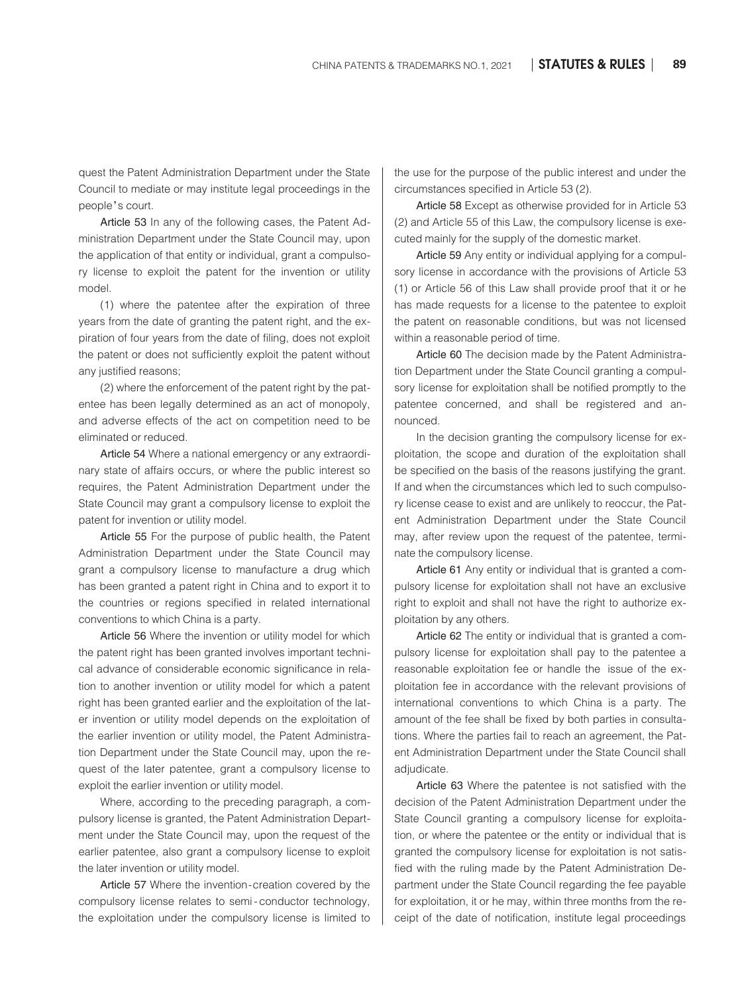quest the Patent Administration Department under the State Council to mediate or may institute legal proceedings in the people's court.

Article 53 In any of the following cases, the Patent Administration Department under the State Council may, upon the application of that entity or individual, grant a compulsory license to exploit the patent for the invention or utility model.

(1) where the patentee after the expiration of three years from the date of granting the patent right, and the expiration of four years from the date of filing, does not exploit the patent or does not sufficiently exploit the patent without any justified reasons;

(2) where the enforcement of the patent right by the patentee has been legally determined as an act of monopoly, and adverse effects of the act on competition need to be eliminated or reduced.

Article 54 Where a national emergency or any extraordinary state of affairs occurs, or where the public interest so requires, the Patent Administration Department under the State Council may grant a compulsory license to exploit the patent for invention or utility model.

Article 55 For the purpose of public health, the Patent Administration Department under the State Council may grant a compulsory license to manufacture a drug which has been granted a patent right in China and to export it to the countries or regions specified in related international conventions to which China is a party.

Article 56 Where the invention or utility model for which the patent right has been granted involves important technical advance of considerable economic significance in relation to another invention or utility model for which a patent right has been granted earlier and the exploitation of the later invention or utility model depends on the exploitation of the earlier invention or utility model, the Patent Administration Department under the State Council may, upon the request of the later patentee, grant a compulsory license to exploit the earlier invention or utility model.

Where, according to the preceding paragraph, a compulsory license is granted, the Patent Administration Department under the State Council may, upon the request of the earlier patentee, also grant a compulsory license to exploit the later invention or utility model.

Article 57 Where the invention-creation covered by the compulsory license relates to semi-conductor technology, the exploitation under the compulsory license is limited to

the use for the purpose of the public interest and under the circumstances specified in Article 53 (2).

Article 58 Except as otherwise provided for in Article 53 (2) and Article 55 of this Law, the compulsory license is executed mainly for the supply of the domestic market.

Article 59 Any entity or individual applying for a compulsory license in accordance with the provisions of Article 53 (1) or Article 56 of this Law shall provide proof that it or he has made requests for a license to the patentee to exploit the patent on reasonable conditions, but was not licensed within a reasonable period of time.

Article 60 The decision made by the Patent Administration Department under the State Council granting a compulsory license for exploitation shall be notified promptly to the patentee concerned, and shall be registered and announced.

In the decision granting the compulsory license for exploitation, the scope and duration of the exploitation shall be specified on the basis of the reasons justifying the grant. If and when the circumstances which led to such compulsory license cease to exist and are unlikely to reoccur, the Patent Administration Department under the State Council may, after review upon the request of the patentee, terminate the compulsory license.

Article 61 Any entity or individual that is granted a compulsory license for exploitation shall not have an exclusive right to exploit and shall not have the right to authorize exploitation by any others.

Article 62 The entity or individual that is granted a compulsory license for exploitation shall pay to the patentee a reasonable exploitation fee or handle the issue of the exploitation fee in accordance with the relevant provisions of international conventions to which China is a party. The amount of the fee shall be fixed by both parties in consultations. Where the parties fail to reach an agreement, the Patent Administration Department under the State Council shall adjudicate.

Article 63 Where the patentee is not satisfied with the decision of the Patent Administration Department under the State Council granting a compulsory license for exploitation, or where the patentee or the entity or individual that is granted the compulsory license for exploitation is not satisfied with the ruling made by the Patent Administration Department under the State Council regarding the fee payable for exploitation, it or he may, within three months from the receipt of the date of notification, institute legal proceedings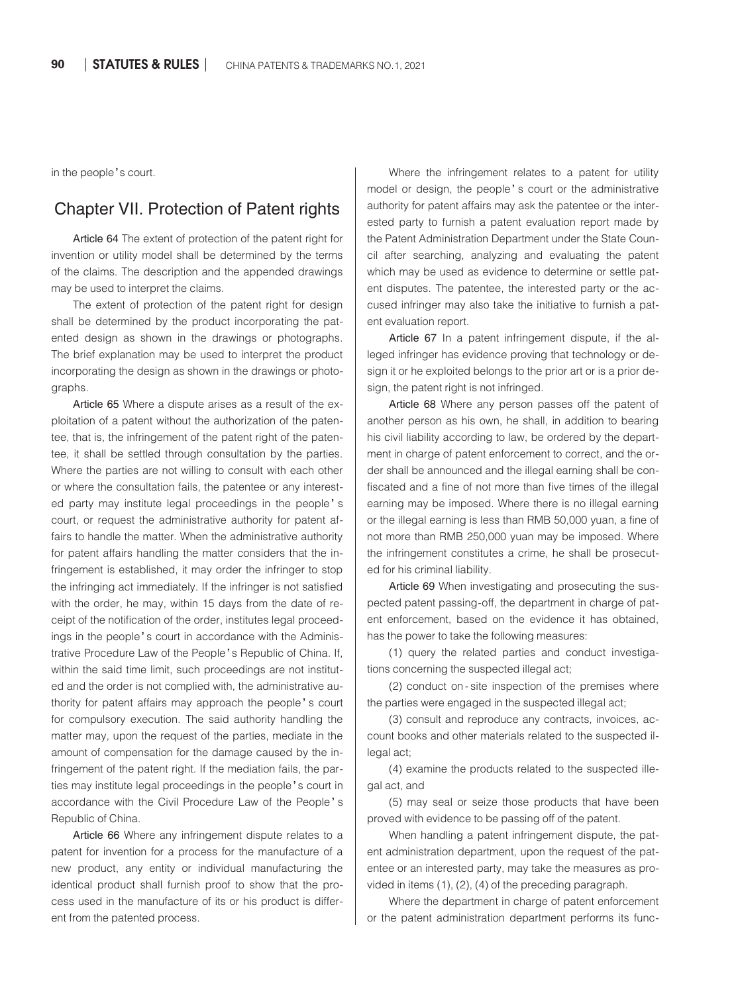in the people's court.

#### Chapter VII. Protection of Patent rights

Article 64 The extent of protection of the patent right for invention or utility model shall be determined by the terms of the claims. The description and the appended drawings may be used to interpret the claims.

The extent of protection of the patent right for design shall be determined by the product incorporating the patented design as shown in the drawings or photographs. The brief explanation may be used to interpret the product incorporating the design as shown in the drawings or photographs.

Article 65 Where a dispute arises as a result of the exploitation of a patent without the authorization of the patentee, that is, the infringement of the patent right of the patentee, it shall be settled through consultation by the parties. Where the parties are not willing to consult with each other or where the consultation fails, the patentee or any interested party may institute legal proceedings in the people' s court, or request the administrative authority for patent affairs to handle the matter. When the administrative authority for patent affairs handling the matter considers that the infringement is established, it may order the infringer to stop the infringing act immediately. If the infringer is not satisfied with the order, he may, within 15 days from the date of receipt of the notification of the order, institutes legal proceedings in the people's court in accordance with the Administrative Procedure Law of the People's Republic of China. If, within the said time limit, such proceedings are not instituted and the order is not complied with, the administrative authority for patent affairs may approach the people' s court for compulsory execution. The said authority handling the matter may, upon the request of the parties, mediate in the amount of compensation for the damage caused by the infringement of the patent right. If the mediation fails, the parties may institute legal proceedings in the people's court in accordance with the Civil Procedure Law of the People' s Republic of China.

Article 66 Where any infringement dispute relates to a patent for invention for a process for the manufacture of a new product, any entity or individual manufacturing the identical product shall furnish proof to show that the process used in the manufacture of its or his product is different from the patented process.

Where the infringement relates to a patent for utility model or design, the people' s court or the administrative authority for patent affairs may ask the patentee or the interested party to furnish a patent evaluation report made by the Patent Administration Department under the State Council after searching, analyzing and evaluating the patent which may be used as evidence to determine or settle patent disputes. The patentee, the interested party or the accused infringer may also take the initiative to furnish a patent evaluation report.

Article 67 In a patent infringement dispute, if the alleged infringer has evidence proving that technology or design it or he exploited belongs to the prior art or is a prior design, the patent right is not infringed.

Article 68 Where any person passes off the patent of another person as his own, he shall, in addition to bearing his civil liability according to law, be ordered by the department in charge of patent enforcement to correct, and the order shall be announced and the illegal earning shall be confiscated and a fine of not more than five times of the illegal earning may be imposed. Where there is no illegal earning or the illegal earning is less than RMB 50,000 yuan, a fine of not more than RMB 250,000 yuan may be imposed. Where the infringement constitutes a crime, he shall be prosecuted for his criminal liability.

Article 69 When investigating and prosecuting the suspected patent passing-off, the department in charge of patent enforcement, based on the evidence it has obtained, has the power to take the following measures:

(1) query the related parties and conduct investigations concerning the suspected illegal act;

(2) conduct on - site inspection of the premises where the parties were engaged in the suspected illegal act;

(3) consult and reproduce any contracts, invoices, account books and other materials related to the suspected illegal act;

(4) examine the products related to the suspected illegal act, and

(5) may seal or seize those products that have been proved with evidence to be passing off of the patent.

When handling a patent infringement dispute, the patent administration department, upon the request of the patentee or an interested party, may take the measures as provided in items (1), (2), (4) of the preceding paragraph.

Where the department in charge of patent enforcement or the patent administration department performs its func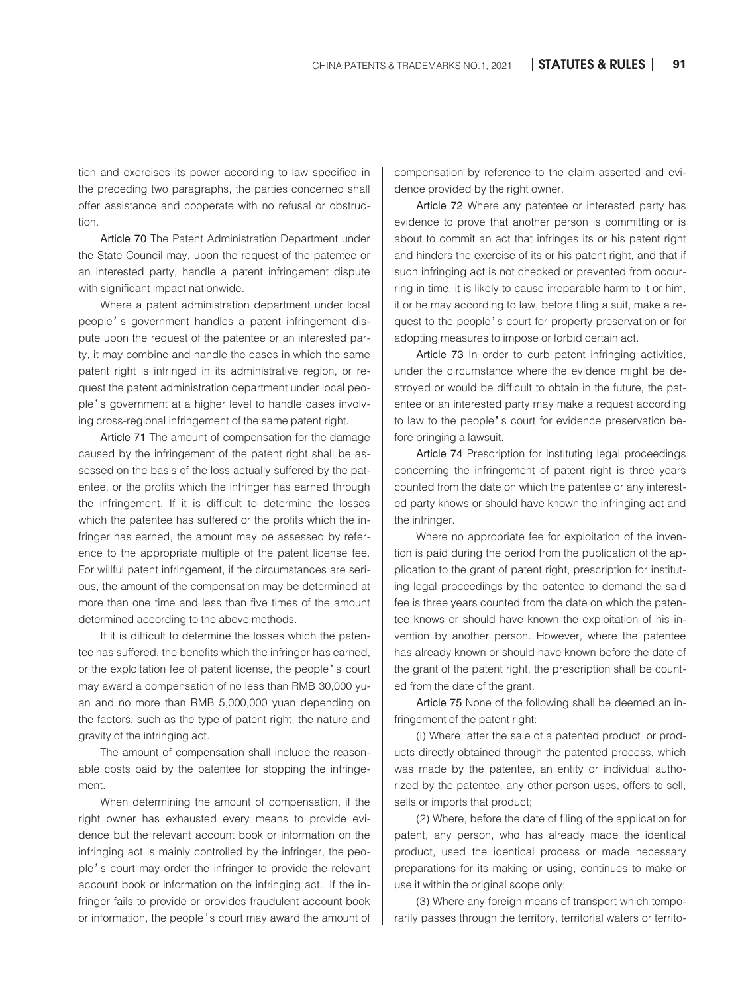tion and exercises its power according to law specified in the preceding two paragraphs, the parties concerned shall offer assistance and cooperate with no refusal or obstruction.

Article 70 The Patent Administration Department under the State Council may, upon the request of the patentee or an interested party, handle a patent infringement dispute with significant impact nationwide.

Where a patent administration department under local people's government handles a patent infringement dispute upon the request of the patentee or an interested party, it may combine and handle the cases in which the same patent right is infringed in its administrative region, or request the patent administration department under local people's government at a higher level to handle cases involving cross-regional infringement of the same patent right.

Article 71 The amount of compensation for the damage caused by the infringement of the patent right shall be assessed on the basis of the loss actually suffered by the patentee, or the profits which the infringer has earned through the infringement. If it is difficult to determine the losses which the patentee has suffered or the profits which the infringer has earned, the amount may be assessed by reference to the appropriate multiple of the patent license fee. For willful patent infringement, if the circumstances are serious, the amount of the compensation may be determined at more than one time and less than five times of the amount determined according to the above methods.

If it is difficult to determine the losses which the patentee has suffered, the benefits which the infringer has earned, or the exploitation fee of patent license, the people' s court may award a compensation of no less than RMB 30,000 yuan and no more than RMB 5,000,000 yuan depending on the factors, such as the type of patent right, the nature and gravity of the infringing act.

The amount of compensation shall include the reasonable costs paid by the patentee for stopping the infringement.

When determining the amount of compensation, if the right owner has exhausted every means to provide evidence but the relevant account book or information on the infringing act is mainly controlled by the infringer, the people's court may order the infringer to provide the relevant account book or information on the infringing act. If the infringer fails to provide or provides fraudulent account book or information, the people's court may award the amount of compensation by reference to the claim asserted and evidence provided by the right owner.

Article 72 Where any patentee or interested party has evidence to prove that another person is committing or is about to commit an act that infringes its or his patent right and hinders the exercise of its or his patent right, and that if such infringing act is not checked or prevented from occurring in time, it is likely to cause irreparable harm to it or him, it or he may according to law, before filing a suit, make a request to the people's court for property preservation or for adopting measures to impose or forbid certain act.

Article 73 In order to curb patent infringing activities, under the circumstance where the evidence might be destroyed or would be difficult to obtain in the future, the patentee or an interested party may make a request according to law to the people's court for evidence preservation before bringing a lawsuit.

Article 74 Prescription for instituting legal proceedings concerning the infringement of patent right is three years counted from the date on which the patentee or any interested party knows or should have known the infringing act and the infringer.

Where no appropriate fee for exploitation of the invention is paid during the period from the publication of the application to the grant of patent right, prescription for instituting legal proceedings by the patentee to demand the said fee is three years counted from the date on which the patentee knows or should have known the exploitation of his invention by another person. However, where the patentee has already known or should have known before the date of the grant of the patent right, the prescription shall be counted from the date of the grant.

Article 75 None of the following shall be deemed an infringement of the patent right:

(I) Where, after the sale of a patented product or products directly obtained through the patented process, which was made by the patentee, an entity or individual authorized by the patentee, any other person uses, offers to sell, sells or imports that product;

(2) Where, before the date of filing of the application for patent, any person, who has already made the identical product, used the identical process or made necessary preparations for its making or using, continues to make or use it within the original scope only;

(3) Where any foreign means of transport which temporarily passes through the territory, territorial waters or territo